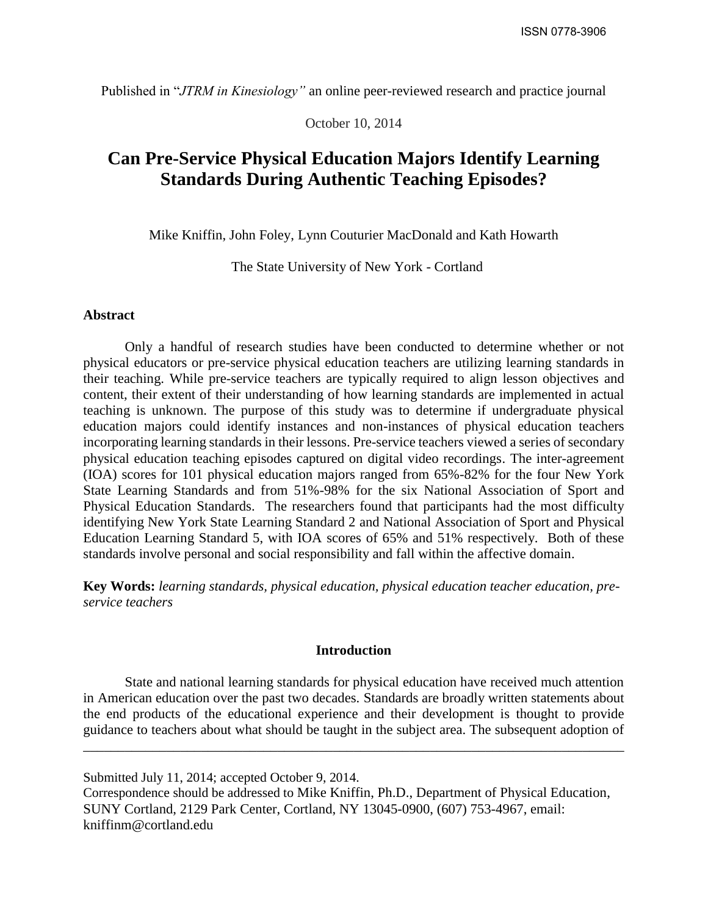Published in "*JTRM in Kinesiology"* an online peer-reviewed research and practice journal

October 10, 2014

# **Can Pre-Service Physical Education Majors Identify Learning Standards During Authentic Teaching Episodes?**

Mike Kniffin, John Foley, Lynn Couturier MacDonald and Kath Howarth

The State University of New York - Cortland

## **Abstract**

Only a handful of research studies have been conducted to determine whether or not physical educators or pre-service physical education teachers are utilizing learning standards in their teaching. While pre-service teachers are typically required to align lesson objectives and content, their extent of their understanding of how learning standards are implemented in actual teaching is unknown. The purpose of this study was to determine if undergraduate physical education majors could identify instances and non-instances of physical education teachers incorporating learning standards in their lessons. Pre-service teachers viewed a series of secondary physical education teaching episodes captured on digital video recordings. The inter-agreement (IOA) scores for 101 physical education majors ranged from 65%-82% for the four New York State Learning Standards and from 51%-98% for the six National Association of Sport and Physical Education Standards. The researchers found that participants had the most difficulty identifying New York State Learning Standard 2 and National Association of Sport and Physical Education Learning Standard 5, with IOA scores of 65% and 51% respectively. Both of these standards involve personal and social responsibility and fall within the affective domain.

**Key Words:** *learning standards, physical education, physical education teacher education, preservice teachers*

#### **Introduction**

State and national learning standards for physical education have received much attention in American education over the past two decades. Standards are broadly written statements about the end products of the educational experience and their development is thought to provide guidance to teachers about what should be taught in the subject area. The subsequent adoption of

\_\_\_\_\_\_\_\_\_\_\_\_\_\_\_\_\_\_\_\_\_\_\_\_\_\_\_\_\_\_\_\_\_\_\_\_\_\_\_\_\_\_\_\_\_\_\_\_\_\_\_\_\_\_\_\_\_\_\_\_\_\_\_\_\_\_\_\_\_\_\_\_\_\_\_\_\_\_

Submitted July 11, 2014; accepted October 9, 2014. Correspondence should be addressed to Mike Kniffin, Ph.D., Department of Physical Education, SUNY Cortland, 2129 Park Center, Cortland, NY 13045-0900, (607) 753-4967, email:

kniffinm@cortland.edu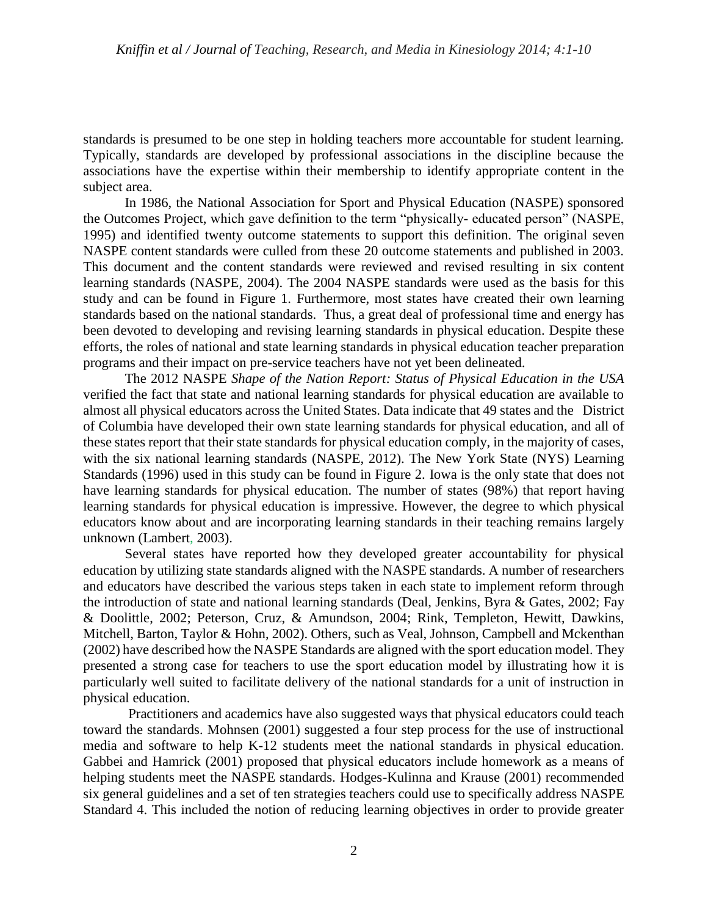standards is presumed to be one step in holding teachers more accountable for student learning. Typically, standards are developed by professional associations in the discipline because the associations have the expertise within their membership to identify appropriate content in the subject area.

In 1986, the National Association for Sport and Physical Education (NASPE) sponsored the Outcomes Project, which gave definition to the term "physically- educated person" (NASPE, 1995) and identified twenty outcome statements to support this definition. The original seven NASPE content standards were culled from these 20 outcome statements and published in 2003. This document and the content standards were reviewed and revised resulting in six content learning standards (NASPE, 2004). The 2004 NASPE standards were used as the basis for this study and can be found in Figure 1. Furthermore, most states have created their own learning standards based on the national standards. Thus, a great deal of professional time and energy has been devoted to developing and revising learning standards in physical education. Despite these efforts, the roles of national and state learning standards in physical education teacher preparation programs and their impact on pre-service teachers have not yet been delineated.

The 2012 NASPE *Shape of the Nation Report: Status of Physical Education in the USA* verified the fact that state and national learning standards for physical education are available to almost all physical educators across the United States. Data indicate that 49 states and the District of Columbia have developed their own state learning standards for physical education, and all of these states report that their state standards for physical education comply, in the majority of cases, with the six national learning standards (NASPE, 2012). The New York State (NYS) Learning Standards (1996) used in this study can be found in Figure 2. Iowa is the only state that does not have learning standards for physical education. The number of states (98%) that report having learning standards for physical education is impressive. However, the degree to which physical educators know about and are incorporating learning standards in their teaching remains largely unknown (Lambert, 2003).

Several states have reported how they developed greater accountability for physical education by utilizing state standards aligned with the NASPE standards. A number of researchers and educators have described the various steps taken in each state to implement reform through the introduction of state and national learning standards (Deal, Jenkins, Byra & Gates, 2002; Fay & Doolittle, 2002; Peterson, Cruz, & Amundson, 2004; Rink, Templeton, Hewitt, Dawkins, Mitchell, Barton, Taylor & Hohn, 2002). Others, such as Veal, Johnson, Campbell and Mckenthan (2002) have described how the NASPE Standards are aligned with the sport education model. They presented a strong case for teachers to use the sport education model by illustrating how it is particularly well suited to facilitate delivery of the national standards for a unit of instruction in physical education.

Practitioners and academics have also suggested ways that physical educators could teach toward the standards. Mohnsen (2001) suggested a four step process for the use of instructional media and software to help K-12 students meet the national standards in physical education. Gabbei and Hamrick (2001) proposed that physical educators include homework as a means of helping students meet the NASPE standards. Hodges-Kulinna and Krause (2001) recommended six general guidelines and a set of ten strategies teachers could use to specifically address NASPE Standard 4. This included the notion of reducing learning objectives in order to provide greater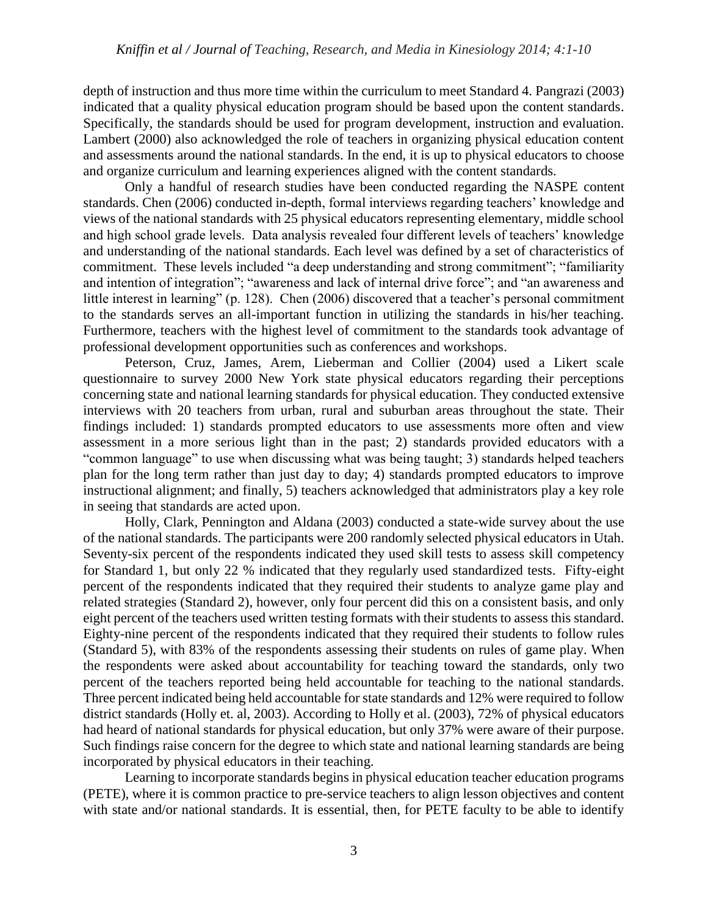## *Kniffin et al / Journal of Teaching, Research, and Media in Kinesiology 2014; 4:1-10*

depth of instruction and thus more time within the curriculum to meet Standard 4. Pangrazi (2003) indicated that a quality physical education program should be based upon the content standards. Specifically, the standards should be used for program development, instruction and evaluation. Lambert (2000) also acknowledged the role of teachers in organizing physical education content and assessments around the national standards. In the end, it is up to physical educators to choose and organize curriculum and learning experiences aligned with the content standards.

Only a handful of research studies have been conducted regarding the NASPE content standards. Chen (2006) conducted in-depth, formal interviews regarding teachers' knowledge and views of the national standards with 25 physical educators representing elementary, middle school and high school grade levels. Data analysis revealed four different levels of teachers' knowledge and understanding of the national standards. Each level was defined by a set of characteristics of commitment. These levels included "a deep understanding and strong commitment"; "familiarity and intention of integration"; "awareness and lack of internal drive force"; and "an awareness and little interest in learning" (p. 128). Chen (2006) discovered that a teacher's personal commitment to the standards serves an all-important function in utilizing the standards in his/her teaching. Furthermore, teachers with the highest level of commitment to the standards took advantage of professional development opportunities such as conferences and workshops.

Peterson, Cruz, James, Arem, Lieberman and Collier (2004) used a Likert scale questionnaire to survey 2000 New York state physical educators regarding their perceptions concerning state and national learning standards for physical education. They conducted extensive interviews with 20 teachers from urban, rural and suburban areas throughout the state. Their findings included: 1) standards prompted educators to use assessments more often and view assessment in a more serious light than in the past; 2) standards provided educators with a "common language" to use when discussing what was being taught; 3) standards helped teachers plan for the long term rather than just day to day; 4) standards prompted educators to improve instructional alignment; and finally, 5) teachers acknowledged that administrators play a key role in seeing that standards are acted upon.

Holly, Clark, Pennington and Aldana (2003) conducted a state-wide survey about the use of the national standards. The participants were 200 randomly selected physical educators in Utah. Seventy-six percent of the respondents indicated they used skill tests to assess skill competency for Standard 1, but only 22 % indicated that they regularly used standardized tests. Fifty-eight percent of the respondents indicated that they required their students to analyze game play and related strategies (Standard 2), however, only four percent did this on a consistent basis, and only eight percent of the teachers used written testing formats with their students to assess this standard. Eighty-nine percent of the respondents indicated that they required their students to follow rules (Standard 5), with 83% of the respondents assessing their students on rules of game play. When the respondents were asked about accountability for teaching toward the standards, only two percent of the teachers reported being held accountable for teaching to the national standards. Three percent indicated being held accountable for state standards and 12% were required to follow district standards (Holly et. al, 2003). According to Holly et al. (2003), 72% of physical educators had heard of national standards for physical education, but only 37% were aware of their purpose. Such findings raise concern for the degree to which state and national learning standards are being incorporated by physical educators in their teaching.

Learning to incorporate standards begins in physical education teacher education programs (PETE), where it is common practice to pre-service teachers to align lesson objectives and content with state and/or national standards. It is essential, then, for PETE faculty to be able to identify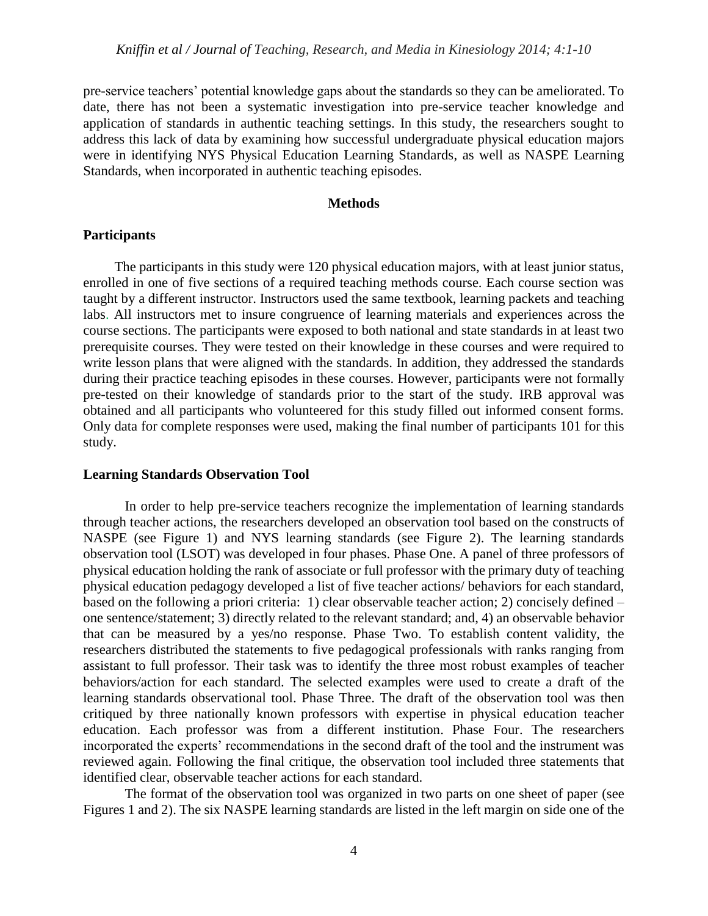pre-service teachers' potential knowledge gaps about the standards so they can be ameliorated. To date, there has not been a systematic investigation into pre-service teacher knowledge and application of standards in authentic teaching settings. In this study, the researchers sought to address this lack of data by examining how successful undergraduate physical education majors were in identifying NYS Physical Education Learning Standards, as well as NASPE Learning Standards, when incorporated in authentic teaching episodes.

# **Methods**

#### **Participants**

 The participants in this study were 120 physical education majors, with at least junior status, enrolled in one of five sections of a required teaching methods course. Each course section was taught by a different instructor. Instructors used the same textbook, learning packets and teaching labs. All instructors met to insure congruence of learning materials and experiences across the course sections. The participants were exposed to both national and state standards in at least two prerequisite courses. They were tested on their knowledge in these courses and were required to write lesson plans that were aligned with the standards. In addition, they addressed the standards during their practice teaching episodes in these courses. However, participants were not formally pre-tested on their knowledge of standards prior to the start of the study. IRB approval was obtained and all participants who volunteered for this study filled out informed consent forms. Only data for complete responses were used, making the final number of participants 101 for this study.

## **Learning Standards Observation Tool**

In order to help pre-service teachers recognize the implementation of learning standards through teacher actions, the researchers developed an observation tool based on the constructs of NASPE (see Figure 1) and NYS learning standards (see Figure 2). The learning standards observation tool (LSOT) was developed in four phases. Phase One. A panel of three professors of physical education holding the rank of associate or full professor with the primary duty of teaching physical education pedagogy developed a list of five teacher actions/ behaviors for each standard, based on the following a priori criteria: 1) clear observable teacher action; 2) concisely defined – one sentence/statement; 3) directly related to the relevant standard; and, 4) an observable behavior that can be measured by a yes/no response. Phase Two. To establish content validity, the researchers distributed the statements to five pedagogical professionals with ranks ranging from assistant to full professor. Their task was to identify the three most robust examples of teacher behaviors/action for each standard. The selected examples were used to create a draft of the learning standards observational tool. Phase Three. The draft of the observation tool was then critiqued by three nationally known professors with expertise in physical education teacher education. Each professor was from a different institution. Phase Four. The researchers incorporated the experts' recommendations in the second draft of the tool and the instrument was reviewed again. Following the final critique, the observation tool included three statements that identified clear, observable teacher actions for each standard.

The format of the observation tool was organized in two parts on one sheet of paper (see Figures 1 and 2). The six NASPE learning standards are listed in the left margin on side one of the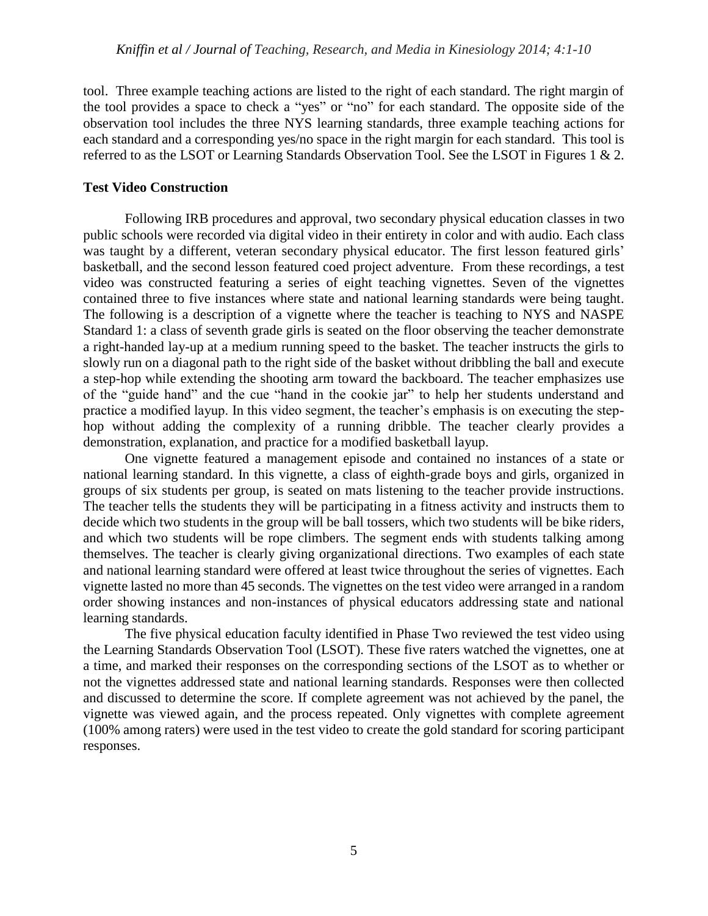tool. Three example teaching actions are listed to the right of each standard. The right margin of the tool provides a space to check a "yes" or "no" for each standard. The opposite side of the observation tool includes the three NYS learning standards, three example teaching actions for each standard and a corresponding yes/no space in the right margin for each standard. This tool is referred to as the LSOT or Learning Standards Observation Tool. See the LSOT in Figures 1 & 2.

## **Test Video Construction**

Following IRB procedures and approval, two secondary physical education classes in two public schools were recorded via digital video in their entirety in color and with audio. Each class was taught by a different, veteran secondary physical educator. The first lesson featured girls' basketball, and the second lesson featured coed project adventure. From these recordings, a test video was constructed featuring a series of eight teaching vignettes. Seven of the vignettes contained three to five instances where state and national learning standards were being taught. The following is a description of a vignette where the teacher is teaching to NYS and NASPE Standard 1: a class of seventh grade girls is seated on the floor observing the teacher demonstrate a right-handed lay-up at a medium running speed to the basket. The teacher instructs the girls to slowly run on a diagonal path to the right side of the basket without dribbling the ball and execute a step-hop while extending the shooting arm toward the backboard. The teacher emphasizes use of the "guide hand" and the cue "hand in the cookie jar" to help her students understand and practice a modified layup. In this video segment, the teacher's emphasis is on executing the stephop without adding the complexity of a running dribble. The teacher clearly provides a demonstration, explanation, and practice for a modified basketball layup.

One vignette featured a management episode and contained no instances of a state or national learning standard. In this vignette, a class of eighth-grade boys and girls, organized in groups of six students per group, is seated on mats listening to the teacher provide instructions. The teacher tells the students they will be participating in a fitness activity and instructs them to decide which two students in the group will be ball tossers, which two students will be bike riders, and which two students will be rope climbers. The segment ends with students talking among themselves. The teacher is clearly giving organizational directions. Two examples of each state and national learning standard were offered at least twice throughout the series of vignettes. Each vignette lasted no more than 45 seconds. The vignettes on the test video were arranged in a random order showing instances and non-instances of physical educators addressing state and national learning standards.

The five physical education faculty identified in Phase Two reviewed the test video using the Learning Standards Observation Tool (LSOT). These five raters watched the vignettes, one at a time, and marked their responses on the corresponding sections of the LSOT as to whether or not the vignettes addressed state and national learning standards. Responses were then collected and discussed to determine the score. If complete agreement was not achieved by the panel, the vignette was viewed again, and the process repeated. Only vignettes with complete agreement (100% among raters) were used in the test video to create the gold standard for scoring participant responses.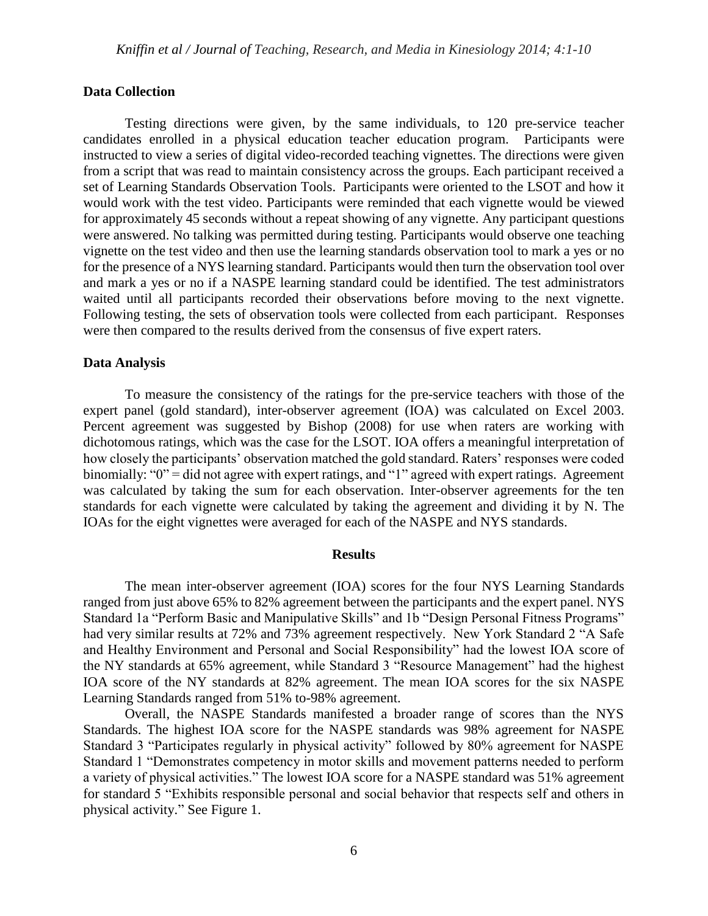# **Data Collection**

Testing directions were given, by the same individuals, to 120 pre-service teacher candidates enrolled in a physical education teacher education program. Participants were instructed to view a series of digital video-recorded teaching vignettes. The directions were given from a script that was read to maintain consistency across the groups. Each participant received a set of Learning Standards Observation Tools. Participants were oriented to the LSOT and how it would work with the test video. Participants were reminded that each vignette would be viewed for approximately 45 seconds without a repeat showing of any vignette. Any participant questions were answered. No talking was permitted during testing. Participants would observe one teaching vignette on the test video and then use the learning standards observation tool to mark a yes or no for the presence of a NYS learning standard. Participants would then turn the observation tool over and mark a yes or no if a NASPE learning standard could be identified. The test administrators waited until all participants recorded their observations before moving to the next vignette. Following testing, the sets of observation tools were collected from each participant. Responses were then compared to the results derived from the consensus of five expert raters.

## **Data Analysis**

To measure the consistency of the ratings for the pre-service teachers with those of the expert panel (gold standard), inter-observer agreement (IOA) was calculated on Excel 2003. Percent agreement was suggested by Bishop (2008) for use when raters are working with dichotomous ratings, which was the case for the LSOT. IOA offers a meaningful interpretation of how closely the participants' observation matched the gold standard. Raters' responses were coded binomially: "0" = did not agree with expert ratings, and "1" agreed with expert ratings. Agreement was calculated by taking the sum for each observation. Inter-observer agreements for the ten standards for each vignette were calculated by taking the agreement and dividing it by N. The IOAs for the eight vignettes were averaged for each of the NASPE and NYS standards.

## **Results**

The mean inter-observer agreement (IOA) scores for the four NYS Learning Standards ranged from just above 65% to 82% agreement between the participants and the expert panel. NYS Standard 1a "Perform Basic and Manipulative Skills" and 1b "Design Personal Fitness Programs" had very similar results at 72% and 73% agreement respectively. New York Standard 2 "A Safe and Healthy Environment and Personal and Social Responsibility" had the lowest IOA score of the NY standards at 65% agreement, while Standard 3 "Resource Management" had the highest IOA score of the NY standards at 82% agreement. The mean IOA scores for the six NASPE Learning Standards ranged from 51% to-98% agreement.

Overall, the NASPE Standards manifested a broader range of scores than the NYS Standards. The highest IOA score for the NASPE standards was 98% agreement for NASPE Standard 3 "Participates regularly in physical activity" followed by 80% agreement for NASPE Standard 1 "Demonstrates competency in motor skills and movement patterns needed to perform a variety of physical activities." The lowest IOA score for a NASPE standard was 51% agreement for standard 5 "Exhibits responsible personal and social behavior that respects self and others in physical activity." See Figure 1.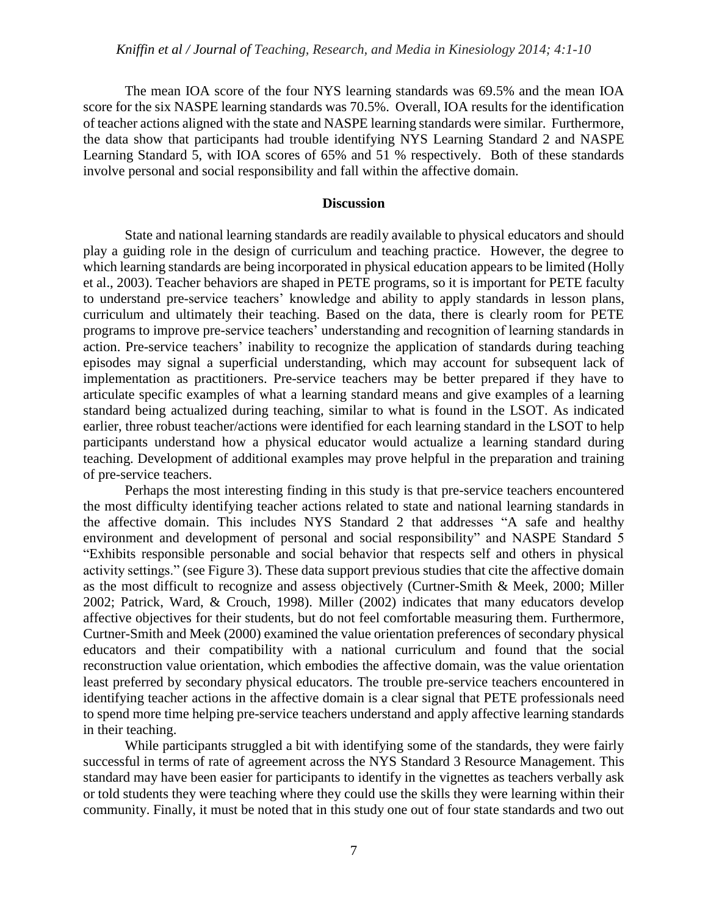The mean IOA score of the four NYS learning standards was 69.5% and the mean IOA score for the six NASPE learning standards was 70.5%. Overall, IOA results for the identification of teacher actions aligned with the state and NASPE learning standards were similar. Furthermore, the data show that participants had trouble identifying NYS Learning Standard 2 and NASPE Learning Standard 5, with IOA scores of 65% and 51 % respectively. Both of these standards involve personal and social responsibility and fall within the affective domain.

## **Discussion**

State and national learning standards are readily available to physical educators and should play a guiding role in the design of curriculum and teaching practice. However, the degree to which learning standards are being incorporated in physical education appears to be limited (Holly et al., 2003). Teacher behaviors are shaped in PETE programs, so it is important for PETE faculty to understand pre-service teachers' knowledge and ability to apply standards in lesson plans, curriculum and ultimately their teaching. Based on the data, there is clearly room for PETE programs to improve pre-service teachers' understanding and recognition of learning standards in action. Pre-service teachers' inability to recognize the application of standards during teaching episodes may signal a superficial understanding, which may account for subsequent lack of implementation as practitioners. Pre-service teachers may be better prepared if they have to articulate specific examples of what a learning standard means and give examples of a learning standard being actualized during teaching, similar to what is found in the LSOT. As indicated earlier, three robust teacher/actions were identified for each learning standard in the LSOT to help participants understand how a physical educator would actualize a learning standard during teaching. Development of additional examples may prove helpful in the preparation and training of pre-service teachers.

Perhaps the most interesting finding in this study is that pre-service teachers encountered the most difficulty identifying teacher actions related to state and national learning standards in the affective domain. This includes NYS Standard 2 that addresses "A safe and healthy environment and development of personal and social responsibility" and NASPE Standard 5 "Exhibits responsible personable and social behavior that respects self and others in physical activity settings." (see Figure 3). These data support previous studies that cite the affective domain as the most difficult to recognize and assess objectively (Curtner-Smith & Meek, 2000; Miller 2002; Patrick, Ward, & Crouch, 1998). Miller (2002) indicates that many educators develop affective objectives for their students, but do not feel comfortable measuring them. Furthermore, Curtner-Smith and Meek (2000) examined the value orientation preferences of secondary physical educators and their compatibility with a national curriculum and found that the social reconstruction value orientation, which embodies the affective domain, was the value orientation least preferred by secondary physical educators. The trouble pre-service teachers encountered in identifying teacher actions in the affective domain is a clear signal that PETE professionals need to spend more time helping pre-service teachers understand and apply affective learning standards in their teaching.

While participants struggled a bit with identifying some of the standards, they were fairly successful in terms of rate of agreement across the NYS Standard 3 Resource Management. This standard may have been easier for participants to identify in the vignettes as teachers verbally ask or told students they were teaching where they could use the skills they were learning within their community. Finally, it must be noted that in this study one out of four state standards and two out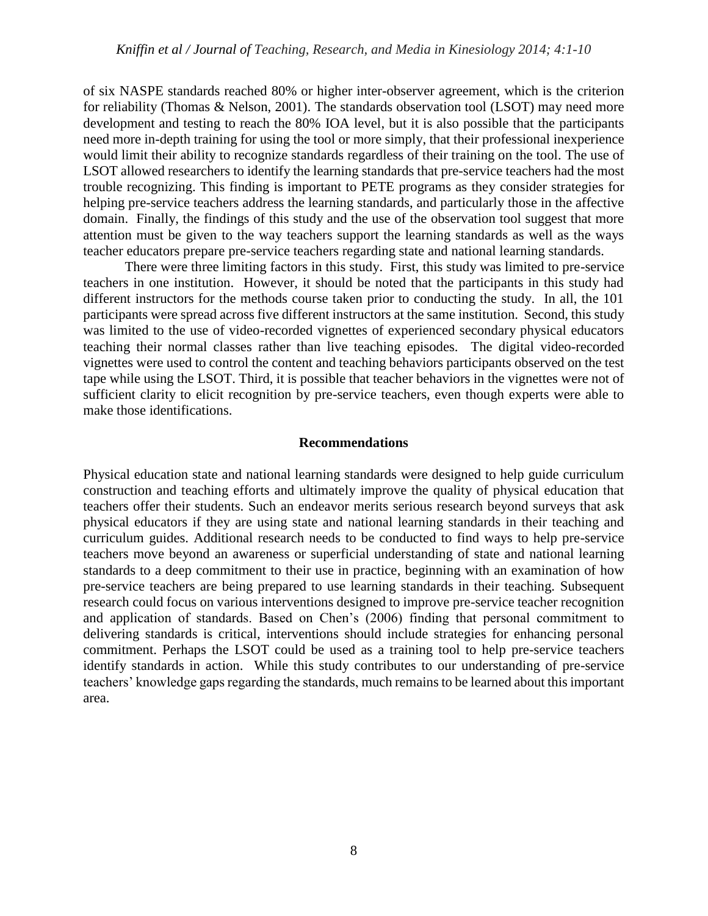of six NASPE standards reached 80% or higher inter-observer agreement, which is the criterion for reliability (Thomas & Nelson, 2001). The standards observation tool (LSOT) may need more development and testing to reach the 80% IOA level, but it is also possible that the participants need more in-depth training for using the tool or more simply, that their professional inexperience would limit their ability to recognize standards regardless of their training on the tool. The use of LSOT allowed researchers to identify the learning standards that pre-service teachers had the most trouble recognizing. This finding is important to PETE programs as they consider strategies for helping pre-service teachers address the learning standards, and particularly those in the affective domain. Finally, the findings of this study and the use of the observation tool suggest that more attention must be given to the way teachers support the learning standards as well as the ways teacher educators prepare pre-service teachers regarding state and national learning standards.

There were three limiting factors in this study. First, this study was limited to pre-service teachers in one institution. However, it should be noted that the participants in this study had different instructors for the methods course taken prior to conducting the study. In all, the 101 participants were spread across five different instructors at the same institution. Second, this study was limited to the use of video-recorded vignettes of experienced secondary physical educators teaching their normal classes rather than live teaching episodes. The digital video-recorded vignettes were used to control the content and teaching behaviors participants observed on the test tape while using the LSOT. Third, it is possible that teacher behaviors in the vignettes were not of sufficient clarity to elicit recognition by pre-service teachers, even though experts were able to make those identifications.

#### **Recommendations**

Physical education state and national learning standards were designed to help guide curriculum construction and teaching efforts and ultimately improve the quality of physical education that teachers offer their students. Such an endeavor merits serious research beyond surveys that ask physical educators if they are using state and national learning standards in their teaching and curriculum guides. Additional research needs to be conducted to find ways to help pre-service teachers move beyond an awareness or superficial understanding of state and national learning standards to a deep commitment to their use in practice, beginning with an examination of how pre-service teachers are being prepared to use learning standards in their teaching. Subsequent research could focus on various interventions designed to improve pre-service teacher recognition and application of standards. Based on Chen's (2006) finding that personal commitment to delivering standards is critical, interventions should include strategies for enhancing personal commitment. Perhaps the LSOT could be used as a training tool to help pre-service teachers identify standards in action. While this study contributes to our understanding of pre-service teachers' knowledge gaps regarding the standards, much remains to be learned about this important area.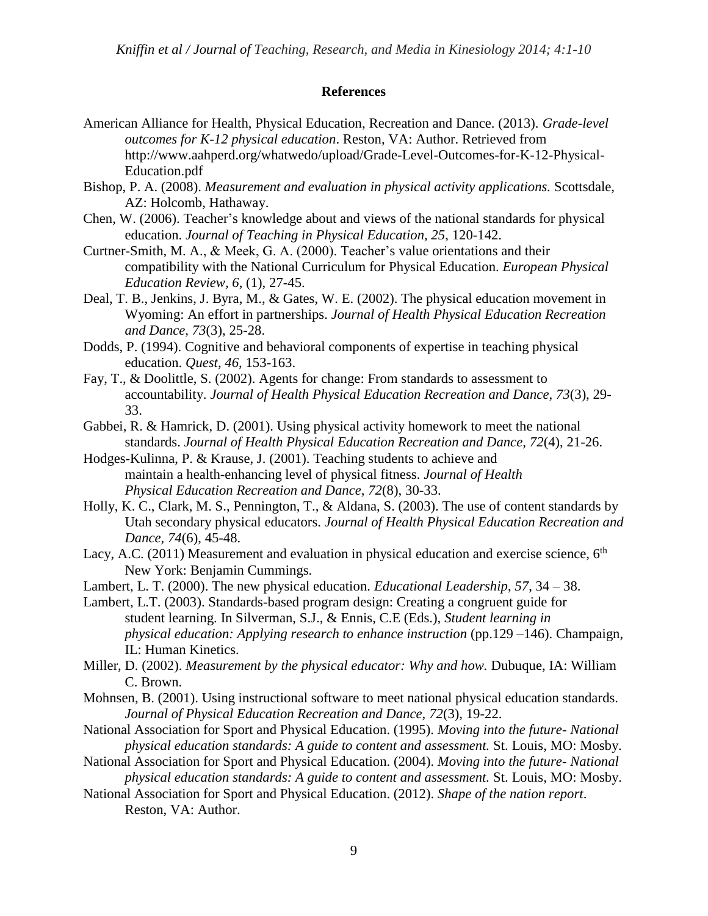## **References**

- American Alliance for Health, Physical Education, Recreation and Dance. (2013). *Grade-level outcomes for K-12 physical education*. Reston, VA: Author. Retrieved from http://www.aahperd.org/whatwedo/upload/Grade-Level-Outcomes-for-K-12-Physical-Education.pdf
- Bishop, P. A. (2008). *Measurement and evaluation in physical activity applications.* Scottsdale, AZ: Holcomb, Hathaway.
- Chen, W. (2006). Teacher's knowledge about and views of the national standards for physical education. *Journal of Teaching in Physical Education, 25*, 120-142.
- Curtner-Smith, M. A., & Meek, G. A. (2000). Teacher's value orientations and their compatibility with the National Curriculum for Physical Education. *European Physical Education Review, 6*, (1), 27-45.
- Deal, T. B., Jenkins, J. Byra, M., & Gates, W. E. (2002). The physical education movement in Wyoming: An effort in partnerships. *Journal of Health Physical Education Recreation and Dance, 73*(3), 25-28.
- Dodds, P. (1994). Cognitive and behavioral components of expertise in teaching physical education. *Quest*, *46*, 153-163.
- Fay, T., & Doolittle, S. (2002). Agents for change: From standards to assessment to accountability. *Journal of Health Physical Education Recreation and Dance*, *73*(3), 29- 33.
- Gabbei, R. & Hamrick, D. (2001). Using physical activity homework to meet the national standards. *Journal of Health Physical Education Recreation and Dance, 72*(4), 21-26.
- Hodges-Kulinna, P. & Krause, J. (2001). Teaching students to achieve and maintain a health-enhancing level of physical fitness. *Journal of Health Physical Education Recreation and Dance, 72*(8), 30-33.
- Holly, K. C., Clark, M. S., Pennington, T., & Aldana, S. (2003). The use of content standards by Utah secondary physical educators. *Journal of Health Physical Education Recreation and Dance, 74*(6), 45-48.
- Lacy, A.C. (2011) Measurement and evaluation in physical education and exercise science,  $6<sup>th</sup>$ New York: Benjamin Cummings.
- Lambert, L. T. (2000). The new physical education. *Educational Leadership*, *57*, 34 38.
- Lambert, L.T. (2003). Standards-based program design: Creating a congruent guide for student learning. In Silverman, S.J., & Ennis, C.E (Eds.), *Student learning in physical education: Applying research to enhance instruction* (pp.129 –146). Champaign, IL: Human Kinetics.
- Miller, D. (2002). *Measurement by the physical educator: Why and how.* Dubuque, IA: William C. Brown.
- Mohnsen, B. (2001). Using instructional software to meet national physical education standards. *Journal of Physical Education Recreation and Dance, 72*(3), 19-22.
- National Association for Sport and Physical Education. (1995). *Moving into the future- National physical education standards: A guide to content and assessment.* St. Louis, MO: Mosby.
- National Association for Sport and Physical Education. (2004). *Moving into the future- National physical education standards: A guide to content and assessment.* St. Louis, MO: Mosby.
- National Association for Sport and Physical Education. (2012). *Shape of the nation report*. Reston, VA: Author.